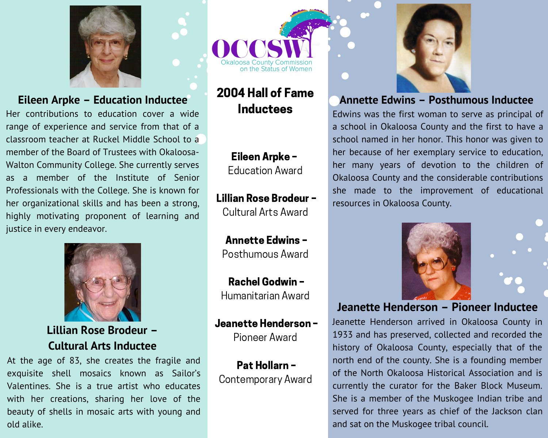

### Eileen Arpke - Education Inductee

Her contributions to education cover a wide range of experience and service from that of a classroom teacher at Ruckel Middle School to a member of the Board of Trustees with Okaloosa-Walton Community College. She currently serves as a member of the Institute of Senior Professionals with the College. She is known for her organizational skills and has been a strong, highly motivating proponent of learning and justice in every endeavor.



Lillian Rose Brodeur -**Cultural Arts Inductee** 

At the age of 83, she creates the fragile and exquisite shell mosaics known as Sailor's Valentines. She is a true artist who educates with her creations, sharing her love of the beauty of shells in mosaic arts with young and old alike.



# 2004 Hall of Fame **Inductees**

Eileen Arpke -**Education Award** 

Lillian Rose Brodeur -Cultural Arts Award

**Annette Edwins -**Posthumous Award

Rachel Godwin -Humanitarian Award

Jeanette Henderson-Pioneer Award

Pat Hollarn -**Contemporary Award** 



#### **Annette Edwins - Posthumous Inductee**

Edwins was the first woman to serve as principal of a school in Okaloosa County and the first to have a school named in her honor. This honor was given to her because of her exemplary service to education, her many years of devotion to the children of Okaloosa County and the considerable contributions she made to the improvement of educational resources in Okaloosa County.





#### Jeanette Henderson - Pioneer Inductee

Jeanette Henderson arrived in Okaloosa County in 1933 and has preserved, collected and recorded the history of Okaloosa County, especially that of the north end of the county. She is a founding member of the North Okaloosa Historical Association and is currently the curator for the Baker Block Museum. She is a member of the Muskogee Indian tribe and served for three years as chief of the Jackson clan and sat on the Muskogee tribal council.